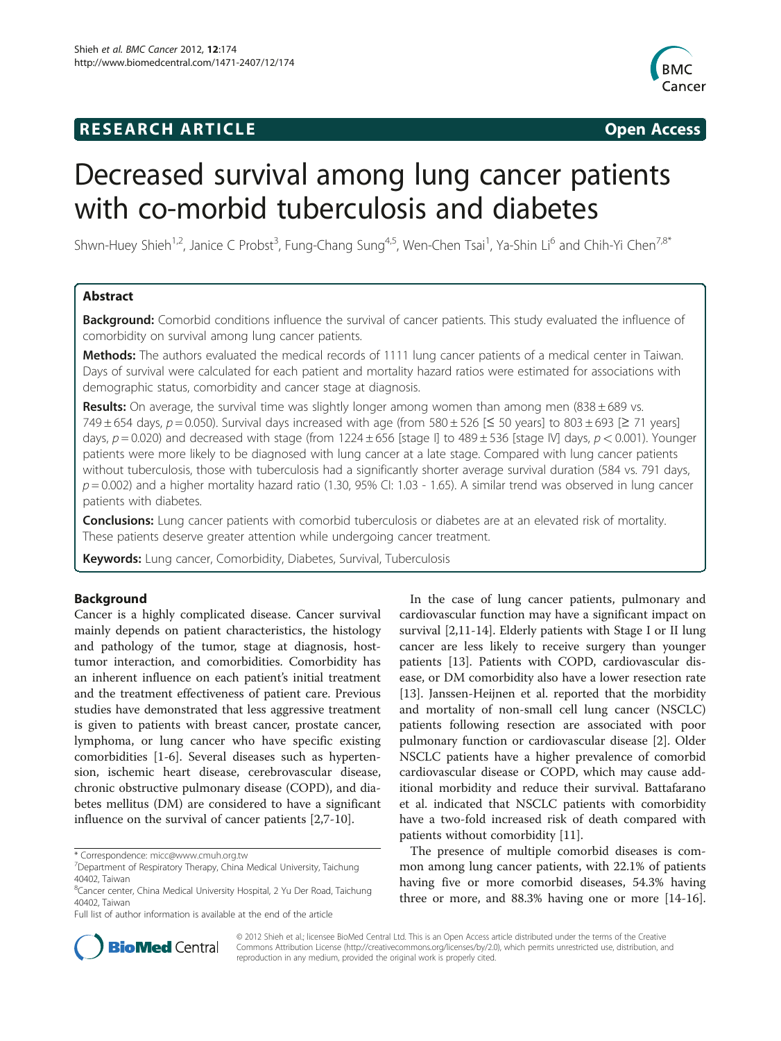# **RESEARCH ARTICLE Example 2014 12:30 The SEAR CHA RTICLE**



# Decreased survival among lung cancer patients with co-morbid tuberculosis and diabetes

Shwn-Huey Shieh<sup>1,2</sup>, Janice C Probst<sup>3</sup>, Fung-Chang Sung<sup>4,5</sup>, Wen-Chen Tsai<sup>1</sup>, Ya-Shin Li<sup>6</sup> and Chih-Yi Chen<sup>7,8\*</sup>

# Abstract

**Background:** Comorbid conditions influence the survival of cancer patients. This study evaluated the influence of comorbidity on survival among lung cancer patients.

Methods: The authors evaluated the medical records of 1111 lung cancer patients of a medical center in Taiwan. Days of survival were calculated for each patient and mortality hazard ratios were estimated for associations with demographic status, comorbidity and cancer stage at diagnosis.

**Results:** On average, the survival time was slightly longer among women than among men (838 $\pm$ 689 vs. 749±654 days, p=0.050). Survival days increased with age (from 580±526 [≤ 50 years] to 803±693 [≥ 71 years] days,  $p = 0.020$ ) and decreased with stage (from 1224 ± 656 [stage I] to 489 ± 536 [stage IV] days,  $p < 0.001$ ). Younger patients were more likely to be diagnosed with lung cancer at a late stage. Compared with lung cancer patients without tuberculosis, those with tuberculosis had a significantly shorter average survival duration (584 vs. 791 days,  $p = 0.002$ ) and a higher mortality hazard ratio (1.30, 95% CI: 1.03 - 1.65). A similar trend was observed in lung cancer patients with diabetes.

**Conclusions:** Lung cancer patients with comorbid tuberculosis or diabetes are at an elevated risk of mortality. These patients deserve greater attention while undergoing cancer treatment.

Keywords: Lung cancer, Comorbidity, Diabetes, Survival, Tuberculosis

# Background

Cancer is a highly complicated disease. Cancer survival mainly depends on patient characteristics, the histology and pathology of the tumor, stage at diagnosis, hosttumor interaction, and comorbidities. Comorbidity has an inherent influence on each patient's initial treatment and the treatment effectiveness of patient care. Previous studies have demonstrated that less aggressive treatment is given to patients with breast cancer, prostate cancer, lymphoma, or lung cancer who have specific existing comorbidities [\[1](#page-7-0)-[6\]](#page-7-0). Several diseases such as hypertension, ischemic heart disease, cerebrovascular disease, chronic obstructive pulmonary disease (COPD), and diabetes mellitus (DM) are considered to have a significant influence on the survival of cancer patients [[2,7-10](#page-7-0)].

In the case of lung cancer patients, pulmonary and cardiovascular function may have a significant impact on survival [\[2](#page-7-0),[11](#page-7-0)-[14\]](#page-7-0). Elderly patients with Stage I or II lung cancer are less likely to receive surgery than younger patients [\[13\]](#page-7-0). Patients with COPD, cardiovascular disease, or DM comorbidity also have a lower resection rate [[13\]](#page-7-0). Janssen-Heijnen et al. reported that the morbidity and mortality of non-small cell lung cancer (NSCLC) patients following resection are associated with poor pulmonary function or cardiovascular disease [\[2\]](#page-7-0). Older NSCLC patients have a higher prevalence of comorbid cardiovascular disease or COPD, which may cause additional morbidity and reduce their survival. Battafarano et al. indicated that NSCLC patients with comorbidity have a two-fold increased risk of death compared with patients without comorbidity [[11\]](#page-7-0).

The presence of multiple comorbid diseases is common among lung cancer patients, with 22.1% of patients having five or more comorbid diseases, 54.3% having three or more, and 88.3% having one or more [\[14-16](#page-7-0)].



© 2012 Shieh et al.; licensee BioMed Central Ltd. This is an Open Access article distributed under the terms of the Creative Commons Attribution License [\(http://creativecommons.org/licenses/by/2.0\)](http://creativecommons.org/licenses/by/2.0), which permits unrestricted use, distribution, and reproduction in any medium, provided the original work is properly cited.

<sup>\*</sup> Correspondence: [micc@www.cmuh.org.tw](mailto:micc@www.cmuh.org.tw) <sup>7</sup>

Department of Respiratory Therapy, China Medical University, Taichung 40402, Taiwan

<sup>&</sup>lt;sup>8</sup>Cancer center, China Medical University Hospital, 2 Yu Der Road, Taichung 40402, Taiwan

Full list of author information is available at the end of the article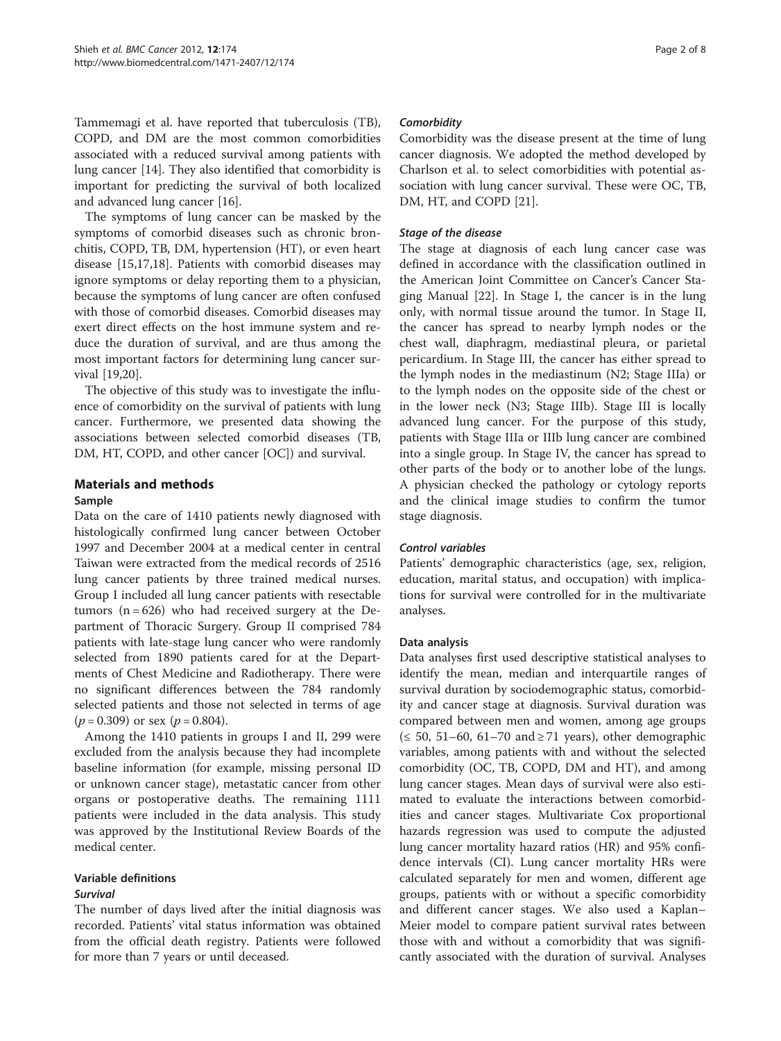Tammemagi et al. have reported that tuberculosis (TB), COPD, and DM are the most common comorbidities associated with a reduced survival among patients with lung cancer [[14](#page-7-0)]. They also identified that comorbidity is important for predicting the survival of both localized and advanced lung cancer [\[16](#page-7-0)].

The symptoms of lung cancer can be masked by the symptoms of comorbid diseases such as chronic bronchitis, COPD, TB, DM, hypertension (HT), or even heart disease [\[15,17,18](#page-7-0)]. Patients with comorbid diseases may ignore symptoms or delay reporting them to a physician, because the symptoms of lung cancer are often confused with those of comorbid diseases. Comorbid diseases may exert direct effects on the host immune system and reduce the duration of survival, and are thus among the most important factors for determining lung cancer survival [\[19,20](#page-7-0)].

The objective of this study was to investigate the influence of comorbidity on the survival of patients with lung cancer. Furthermore, we presented data showing the associations between selected comorbid diseases (TB, DM, HT, COPD, and other cancer [OC]) and survival.

### Materials and methods

#### Sample

Data on the care of 1410 patients newly diagnosed with histologically confirmed lung cancer between October 1997 and December 2004 at a medical center in central Taiwan were extracted from the medical records of 2516 lung cancer patients by three trained medical nurses. Group I included all lung cancer patients with resectable tumors  $(n = 626)$  who had received surgery at the Department of Thoracic Surgery. Group II comprised 784 patients with late-stage lung cancer who were randomly selected from 1890 patients cared for at the Departments of Chest Medicine and Radiotherapy. There were no significant differences between the 784 randomly selected patients and those not selected in terms of age  $(p = 0.309)$  or sex  $(p = 0.804)$ .

Among the 1410 patients in groups I and II, 299 were excluded from the analysis because they had incomplete baseline information (for example, missing personal ID or unknown cancer stage), metastatic cancer from other organs or postoperative deaths. The remaining 1111 patients were included in the data analysis. This study was approved by the Institutional Review Boards of the medical center.

# Variable definitions

#### Survival

The number of days lived after the initial diagnosis was recorded. Patients' vital status information was obtained from the official death registry. Patients were followed for more than 7 years or until deceased.

#### **Comorbidity**

Comorbidity was the disease present at the time of lung cancer diagnosis. We adopted the method developed by Charlson et al. to select comorbidities with potential association with lung cancer survival. These were OC, TB, DM, HT, and COPD [[21](#page-7-0)].

# Stage of the disease

The stage at diagnosis of each lung cancer case was defined in accordance with the classification outlined in the American Joint Committee on Cancer's Cancer Staging Manual [[22\]](#page-7-0). In Stage I, the cancer is in the lung only, with normal tissue around the tumor. In Stage II, the cancer has spread to nearby lymph nodes or the chest wall, diaphragm, mediastinal pleura, or parietal pericardium. In Stage III, the cancer has either spread to the lymph nodes in the mediastinum (N2; Stage IIIa) or to the lymph nodes on the opposite side of the chest or in the lower neck (N3; Stage IIIb). Stage III is locally advanced lung cancer. For the purpose of this study, patients with Stage IIIa or IIIb lung cancer are combined into a single group. In Stage IV, the cancer has spread to other parts of the body or to another lobe of the lungs. A physician checked the pathology or cytology reports and the clinical image studies to confirm the tumor stage diagnosis.

#### Control variables

Patients' demographic characteristics (age, sex, religion, education, marital status, and occupation) with implications for survival were controlled for in the multivariate analyses.

#### Data analysis

Data analyses first used descriptive statistical analyses to identify the mean, median and interquartile ranges of survival duration by sociodemographic status, comorbidity and cancer stage at diagnosis. Survival duration was compared between men and women, among age groups (≤ 50, 51–60, 61–70 and ≥ 71 years), other demographic variables, among patients with and without the selected comorbidity (OC, TB, COPD, DM and HT), and among lung cancer stages. Mean days of survival were also estimated to evaluate the interactions between comorbidities and cancer stages. Multivariate Cox proportional hazards regression was used to compute the adjusted lung cancer mortality hazard ratios (HR) and 95% confidence intervals (CI). Lung cancer mortality HRs were calculated separately for men and women, different age groups, patients with or without a specific comorbidity and different cancer stages. We also used a Kaplan– Meier model to compare patient survival rates between those with and without a comorbidity that was significantly associated with the duration of survival. Analyses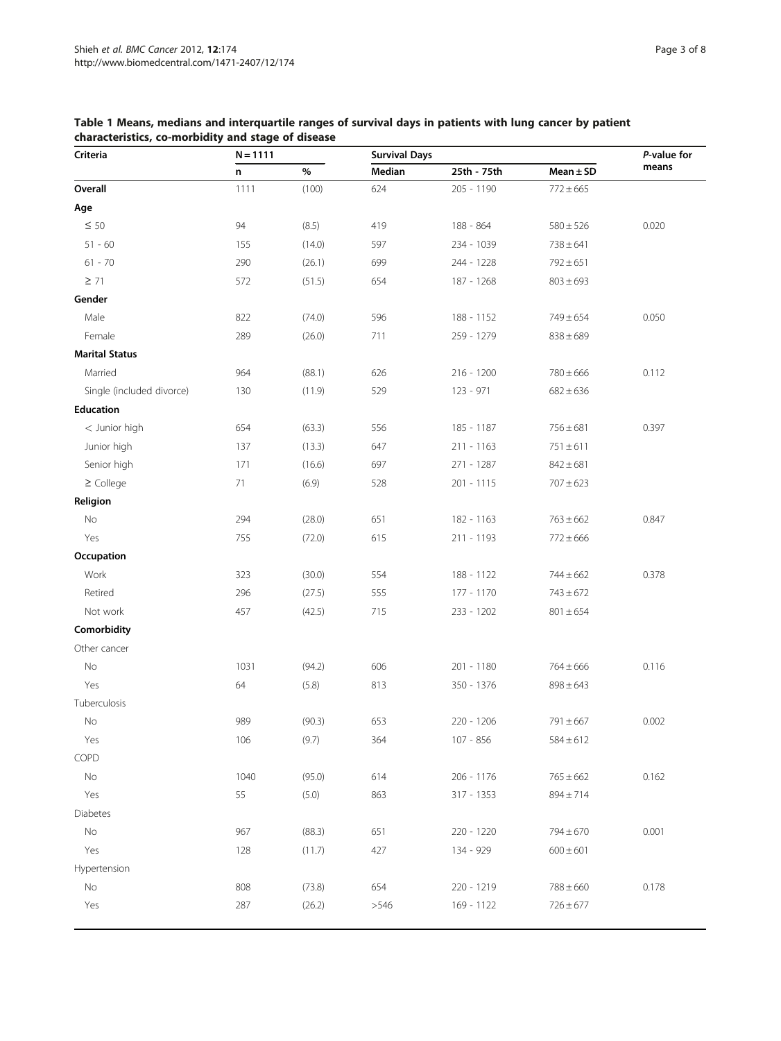| Median<br>%<br>25th - 75th<br>$Mean \pm SD$<br>n<br>205 - 1190<br>Overall<br>1111<br>(100)<br>624<br>$772 \pm 665$<br>Age<br>$\leq 50$<br>94<br>(8.5)<br>188 - 864<br>0.020<br>419<br>$580 \pm 526$<br>$51 - 60$<br>(14.0)<br>597<br>155<br>234 - 1039<br>$738 \pm 641$<br>$61 - 70$<br>290<br>699<br>244 - 1228<br>(26.1)<br>$792 \pm 651$<br>$\geq$ 71<br>572<br>654<br>$803 \pm 693$<br>(51.5)<br>187 - 1268<br>Gender<br>Male<br>822<br>596<br>0.050<br>(74.0)<br>188 - 1152<br>$749 \pm 654$<br>Female<br>289<br>(26.0)<br>711<br>259 - 1279<br>$838 \pm 689$<br><b>Marital Status</b><br>Married<br>964<br>(88.1)<br>626<br>0.112<br>$216 - 1200$<br>$780 \pm 666$<br>Single (included divorce)<br>529<br>130<br>(11.9)<br>123 - 971<br>$682 \pm 636$<br><b>Education</b><br>$<$ Junior high<br>654<br>(63.3)<br>556<br>185 - 1187<br>$756 \pm 681$<br>0.397<br>Junior high<br>137<br>(13.3)<br>647<br>$211 - 1163$<br>$751 \pm 611$<br>Senior high<br>171<br>(16.6)<br>697<br>271 - 1287<br>$842 \pm 681$<br>$\geq$ College<br>71<br>(6.9)<br>528<br>$201 - 1115$<br>$707 \pm 623$<br>Religion<br>No<br>294<br>$763 \pm 662$<br>0.847<br>(28.0)<br>651<br>182 - 1163<br>Yes<br>755<br>615<br>(72.0)<br>211 - 1193<br>$772 \pm 666$<br>Occupation<br>Work<br>323<br>554<br>0.378<br>(30.0)<br>188 - 1122<br>$744 \pm 662$<br>Retired<br>296<br>(27.5)<br>555<br>177 - 1170<br>$743 \pm 672$<br>Not work<br>(42.5)<br>457<br>715<br>233 - 1202<br>$801 \pm 654$<br>Comorbidity<br>Other cancer<br>No<br>1031<br>606<br>0.116<br>(94.2)<br>201 - 1180<br>$764 \pm 666$<br>Yes<br>64<br>813<br>(5.8)<br>350 - 1376<br>$898 \pm 643$<br>Tuberculosis<br>No<br>989<br>(90.3)<br>653<br>0.002<br>220 - 1206<br>$791 \pm 667$<br>106<br>(9.7)<br>107 - 856<br>Yes<br>364<br>$584 \pm 612$<br>COPD<br>No<br>1040<br>(95.0)<br>$765 \pm 662$<br>0.162<br>614<br>206 - 1176<br>55<br>Yes<br>(5.0)<br>863<br>317 - 1353<br>$894 \pm 714$<br>Diabetes<br>No<br>967<br>(88.3)<br>651<br>220 - 1220<br>$794 \pm 670$<br>0.001<br>427<br>Yes<br>128<br>(11.7)<br>134 - 929<br>$600 \pm 601$<br>Hypertension<br>No<br>808<br>(73.8)<br>654<br>220 - 1219<br>$788 \pm 660$<br>0.178<br>Yes<br>287<br>(26.2)<br>>546<br>169 - 1122<br>$726 \pm 677$ | Criteria | $N = 1111$ |  | <b>Survival Days</b> |  |       |  |  |
|-----------------------------------------------------------------------------------------------------------------------------------------------------------------------------------------------------------------------------------------------------------------------------------------------------------------------------------------------------------------------------------------------------------------------------------------------------------------------------------------------------------------------------------------------------------------------------------------------------------------------------------------------------------------------------------------------------------------------------------------------------------------------------------------------------------------------------------------------------------------------------------------------------------------------------------------------------------------------------------------------------------------------------------------------------------------------------------------------------------------------------------------------------------------------------------------------------------------------------------------------------------------------------------------------------------------------------------------------------------------------------------------------------------------------------------------------------------------------------------------------------------------------------------------------------------------------------------------------------------------------------------------------------------------------------------------------------------------------------------------------------------------------------------------------------------------------------------------------------------------------------------------------------------------------------------------------------------------------------------------------------------------------------------------------------------------------------------------------------------------------------------------------------------------------------------------------------------------------------------------|----------|------------|--|----------------------|--|-------|--|--|
|                                                                                                                                                                                                                                                                                                                                                                                                                                                                                                                                                                                                                                                                                                                                                                                                                                                                                                                                                                                                                                                                                                                                                                                                                                                                                                                                                                                                                                                                                                                                                                                                                                                                                                                                                                                                                                                                                                                                                                                                                                                                                                                                                                                                                                         |          |            |  |                      |  | means |  |  |
|                                                                                                                                                                                                                                                                                                                                                                                                                                                                                                                                                                                                                                                                                                                                                                                                                                                                                                                                                                                                                                                                                                                                                                                                                                                                                                                                                                                                                                                                                                                                                                                                                                                                                                                                                                                                                                                                                                                                                                                                                                                                                                                                                                                                                                         |          |            |  |                      |  |       |  |  |
|                                                                                                                                                                                                                                                                                                                                                                                                                                                                                                                                                                                                                                                                                                                                                                                                                                                                                                                                                                                                                                                                                                                                                                                                                                                                                                                                                                                                                                                                                                                                                                                                                                                                                                                                                                                                                                                                                                                                                                                                                                                                                                                                                                                                                                         |          |            |  |                      |  |       |  |  |
|                                                                                                                                                                                                                                                                                                                                                                                                                                                                                                                                                                                                                                                                                                                                                                                                                                                                                                                                                                                                                                                                                                                                                                                                                                                                                                                                                                                                                                                                                                                                                                                                                                                                                                                                                                                                                                                                                                                                                                                                                                                                                                                                                                                                                                         |          |            |  |                      |  |       |  |  |
|                                                                                                                                                                                                                                                                                                                                                                                                                                                                                                                                                                                                                                                                                                                                                                                                                                                                                                                                                                                                                                                                                                                                                                                                                                                                                                                                                                                                                                                                                                                                                                                                                                                                                                                                                                                                                                                                                                                                                                                                                                                                                                                                                                                                                                         |          |            |  |                      |  |       |  |  |
|                                                                                                                                                                                                                                                                                                                                                                                                                                                                                                                                                                                                                                                                                                                                                                                                                                                                                                                                                                                                                                                                                                                                                                                                                                                                                                                                                                                                                                                                                                                                                                                                                                                                                                                                                                                                                                                                                                                                                                                                                                                                                                                                                                                                                                         |          |            |  |                      |  |       |  |  |
|                                                                                                                                                                                                                                                                                                                                                                                                                                                                                                                                                                                                                                                                                                                                                                                                                                                                                                                                                                                                                                                                                                                                                                                                                                                                                                                                                                                                                                                                                                                                                                                                                                                                                                                                                                                                                                                                                                                                                                                                                                                                                                                                                                                                                                         |          |            |  |                      |  |       |  |  |
|                                                                                                                                                                                                                                                                                                                                                                                                                                                                                                                                                                                                                                                                                                                                                                                                                                                                                                                                                                                                                                                                                                                                                                                                                                                                                                                                                                                                                                                                                                                                                                                                                                                                                                                                                                                                                                                                                                                                                                                                                                                                                                                                                                                                                                         |          |            |  |                      |  |       |  |  |
|                                                                                                                                                                                                                                                                                                                                                                                                                                                                                                                                                                                                                                                                                                                                                                                                                                                                                                                                                                                                                                                                                                                                                                                                                                                                                                                                                                                                                                                                                                                                                                                                                                                                                                                                                                                                                                                                                                                                                                                                                                                                                                                                                                                                                                         |          |            |  |                      |  |       |  |  |
|                                                                                                                                                                                                                                                                                                                                                                                                                                                                                                                                                                                                                                                                                                                                                                                                                                                                                                                                                                                                                                                                                                                                                                                                                                                                                                                                                                                                                                                                                                                                                                                                                                                                                                                                                                                                                                                                                                                                                                                                                                                                                                                                                                                                                                         |          |            |  |                      |  |       |  |  |
|                                                                                                                                                                                                                                                                                                                                                                                                                                                                                                                                                                                                                                                                                                                                                                                                                                                                                                                                                                                                                                                                                                                                                                                                                                                                                                                                                                                                                                                                                                                                                                                                                                                                                                                                                                                                                                                                                                                                                                                                                                                                                                                                                                                                                                         |          |            |  |                      |  |       |  |  |
|                                                                                                                                                                                                                                                                                                                                                                                                                                                                                                                                                                                                                                                                                                                                                                                                                                                                                                                                                                                                                                                                                                                                                                                                                                                                                                                                                                                                                                                                                                                                                                                                                                                                                                                                                                                                                                                                                                                                                                                                                                                                                                                                                                                                                                         |          |            |  |                      |  |       |  |  |
|                                                                                                                                                                                                                                                                                                                                                                                                                                                                                                                                                                                                                                                                                                                                                                                                                                                                                                                                                                                                                                                                                                                                                                                                                                                                                                                                                                                                                                                                                                                                                                                                                                                                                                                                                                                                                                                                                                                                                                                                                                                                                                                                                                                                                                         |          |            |  |                      |  |       |  |  |
|                                                                                                                                                                                                                                                                                                                                                                                                                                                                                                                                                                                                                                                                                                                                                                                                                                                                                                                                                                                                                                                                                                                                                                                                                                                                                                                                                                                                                                                                                                                                                                                                                                                                                                                                                                                                                                                                                                                                                                                                                                                                                                                                                                                                                                         |          |            |  |                      |  |       |  |  |
|                                                                                                                                                                                                                                                                                                                                                                                                                                                                                                                                                                                                                                                                                                                                                                                                                                                                                                                                                                                                                                                                                                                                                                                                                                                                                                                                                                                                                                                                                                                                                                                                                                                                                                                                                                                                                                                                                                                                                                                                                                                                                                                                                                                                                                         |          |            |  |                      |  |       |  |  |
|                                                                                                                                                                                                                                                                                                                                                                                                                                                                                                                                                                                                                                                                                                                                                                                                                                                                                                                                                                                                                                                                                                                                                                                                                                                                                                                                                                                                                                                                                                                                                                                                                                                                                                                                                                                                                                                                                                                                                                                                                                                                                                                                                                                                                                         |          |            |  |                      |  |       |  |  |
|                                                                                                                                                                                                                                                                                                                                                                                                                                                                                                                                                                                                                                                                                                                                                                                                                                                                                                                                                                                                                                                                                                                                                                                                                                                                                                                                                                                                                                                                                                                                                                                                                                                                                                                                                                                                                                                                                                                                                                                                                                                                                                                                                                                                                                         |          |            |  |                      |  |       |  |  |
|                                                                                                                                                                                                                                                                                                                                                                                                                                                                                                                                                                                                                                                                                                                                                                                                                                                                                                                                                                                                                                                                                                                                                                                                                                                                                                                                                                                                                                                                                                                                                                                                                                                                                                                                                                                                                                                                                                                                                                                                                                                                                                                                                                                                                                         |          |            |  |                      |  |       |  |  |
|                                                                                                                                                                                                                                                                                                                                                                                                                                                                                                                                                                                                                                                                                                                                                                                                                                                                                                                                                                                                                                                                                                                                                                                                                                                                                                                                                                                                                                                                                                                                                                                                                                                                                                                                                                                                                                                                                                                                                                                                                                                                                                                                                                                                                                         |          |            |  |                      |  |       |  |  |
|                                                                                                                                                                                                                                                                                                                                                                                                                                                                                                                                                                                                                                                                                                                                                                                                                                                                                                                                                                                                                                                                                                                                                                                                                                                                                                                                                                                                                                                                                                                                                                                                                                                                                                                                                                                                                                                                                                                                                                                                                                                                                                                                                                                                                                         |          |            |  |                      |  |       |  |  |
|                                                                                                                                                                                                                                                                                                                                                                                                                                                                                                                                                                                                                                                                                                                                                                                                                                                                                                                                                                                                                                                                                                                                                                                                                                                                                                                                                                                                                                                                                                                                                                                                                                                                                                                                                                                                                                                                                                                                                                                                                                                                                                                                                                                                                                         |          |            |  |                      |  |       |  |  |
|                                                                                                                                                                                                                                                                                                                                                                                                                                                                                                                                                                                                                                                                                                                                                                                                                                                                                                                                                                                                                                                                                                                                                                                                                                                                                                                                                                                                                                                                                                                                                                                                                                                                                                                                                                                                                                                                                                                                                                                                                                                                                                                                                                                                                                         |          |            |  |                      |  |       |  |  |
|                                                                                                                                                                                                                                                                                                                                                                                                                                                                                                                                                                                                                                                                                                                                                                                                                                                                                                                                                                                                                                                                                                                                                                                                                                                                                                                                                                                                                                                                                                                                                                                                                                                                                                                                                                                                                                                                                                                                                                                                                                                                                                                                                                                                                                         |          |            |  |                      |  |       |  |  |
|                                                                                                                                                                                                                                                                                                                                                                                                                                                                                                                                                                                                                                                                                                                                                                                                                                                                                                                                                                                                                                                                                                                                                                                                                                                                                                                                                                                                                                                                                                                                                                                                                                                                                                                                                                                                                                                                                                                                                                                                                                                                                                                                                                                                                                         |          |            |  |                      |  |       |  |  |
|                                                                                                                                                                                                                                                                                                                                                                                                                                                                                                                                                                                                                                                                                                                                                                                                                                                                                                                                                                                                                                                                                                                                                                                                                                                                                                                                                                                                                                                                                                                                                                                                                                                                                                                                                                                                                                                                                                                                                                                                                                                                                                                                                                                                                                         |          |            |  |                      |  |       |  |  |
|                                                                                                                                                                                                                                                                                                                                                                                                                                                                                                                                                                                                                                                                                                                                                                                                                                                                                                                                                                                                                                                                                                                                                                                                                                                                                                                                                                                                                                                                                                                                                                                                                                                                                                                                                                                                                                                                                                                                                                                                                                                                                                                                                                                                                                         |          |            |  |                      |  |       |  |  |
|                                                                                                                                                                                                                                                                                                                                                                                                                                                                                                                                                                                                                                                                                                                                                                                                                                                                                                                                                                                                                                                                                                                                                                                                                                                                                                                                                                                                                                                                                                                                                                                                                                                                                                                                                                                                                                                                                                                                                                                                                                                                                                                                                                                                                                         |          |            |  |                      |  |       |  |  |
|                                                                                                                                                                                                                                                                                                                                                                                                                                                                                                                                                                                                                                                                                                                                                                                                                                                                                                                                                                                                                                                                                                                                                                                                                                                                                                                                                                                                                                                                                                                                                                                                                                                                                                                                                                                                                                                                                                                                                                                                                                                                                                                                                                                                                                         |          |            |  |                      |  |       |  |  |
|                                                                                                                                                                                                                                                                                                                                                                                                                                                                                                                                                                                                                                                                                                                                                                                                                                                                                                                                                                                                                                                                                                                                                                                                                                                                                                                                                                                                                                                                                                                                                                                                                                                                                                                                                                                                                                                                                                                                                                                                                                                                                                                                                                                                                                         |          |            |  |                      |  |       |  |  |
|                                                                                                                                                                                                                                                                                                                                                                                                                                                                                                                                                                                                                                                                                                                                                                                                                                                                                                                                                                                                                                                                                                                                                                                                                                                                                                                                                                                                                                                                                                                                                                                                                                                                                                                                                                                                                                                                                                                                                                                                                                                                                                                                                                                                                                         |          |            |  |                      |  |       |  |  |
|                                                                                                                                                                                                                                                                                                                                                                                                                                                                                                                                                                                                                                                                                                                                                                                                                                                                                                                                                                                                                                                                                                                                                                                                                                                                                                                                                                                                                                                                                                                                                                                                                                                                                                                                                                                                                                                                                                                                                                                                                                                                                                                                                                                                                                         |          |            |  |                      |  |       |  |  |
|                                                                                                                                                                                                                                                                                                                                                                                                                                                                                                                                                                                                                                                                                                                                                                                                                                                                                                                                                                                                                                                                                                                                                                                                                                                                                                                                                                                                                                                                                                                                                                                                                                                                                                                                                                                                                                                                                                                                                                                                                                                                                                                                                                                                                                         |          |            |  |                      |  |       |  |  |
|                                                                                                                                                                                                                                                                                                                                                                                                                                                                                                                                                                                                                                                                                                                                                                                                                                                                                                                                                                                                                                                                                                                                                                                                                                                                                                                                                                                                                                                                                                                                                                                                                                                                                                                                                                                                                                                                                                                                                                                                                                                                                                                                                                                                                                         |          |            |  |                      |  |       |  |  |
|                                                                                                                                                                                                                                                                                                                                                                                                                                                                                                                                                                                                                                                                                                                                                                                                                                                                                                                                                                                                                                                                                                                                                                                                                                                                                                                                                                                                                                                                                                                                                                                                                                                                                                                                                                                                                                                                                                                                                                                                                                                                                                                                                                                                                                         |          |            |  |                      |  |       |  |  |
|                                                                                                                                                                                                                                                                                                                                                                                                                                                                                                                                                                                                                                                                                                                                                                                                                                                                                                                                                                                                                                                                                                                                                                                                                                                                                                                                                                                                                                                                                                                                                                                                                                                                                                                                                                                                                                                                                                                                                                                                                                                                                                                                                                                                                                         |          |            |  |                      |  |       |  |  |
|                                                                                                                                                                                                                                                                                                                                                                                                                                                                                                                                                                                                                                                                                                                                                                                                                                                                                                                                                                                                                                                                                                                                                                                                                                                                                                                                                                                                                                                                                                                                                                                                                                                                                                                                                                                                                                                                                                                                                                                                                                                                                                                                                                                                                                         |          |            |  |                      |  |       |  |  |
|                                                                                                                                                                                                                                                                                                                                                                                                                                                                                                                                                                                                                                                                                                                                                                                                                                                                                                                                                                                                                                                                                                                                                                                                                                                                                                                                                                                                                                                                                                                                                                                                                                                                                                                                                                                                                                                                                                                                                                                                                                                                                                                                                                                                                                         |          |            |  |                      |  |       |  |  |
|                                                                                                                                                                                                                                                                                                                                                                                                                                                                                                                                                                                                                                                                                                                                                                                                                                                                                                                                                                                                                                                                                                                                                                                                                                                                                                                                                                                                                                                                                                                                                                                                                                                                                                                                                                                                                                                                                                                                                                                                                                                                                                                                                                                                                                         |          |            |  |                      |  |       |  |  |
|                                                                                                                                                                                                                                                                                                                                                                                                                                                                                                                                                                                                                                                                                                                                                                                                                                                                                                                                                                                                                                                                                                                                                                                                                                                                                                                                                                                                                                                                                                                                                                                                                                                                                                                                                                                                                                                                                                                                                                                                                                                                                                                                                                                                                                         |          |            |  |                      |  |       |  |  |
|                                                                                                                                                                                                                                                                                                                                                                                                                                                                                                                                                                                                                                                                                                                                                                                                                                                                                                                                                                                                                                                                                                                                                                                                                                                                                                                                                                                                                                                                                                                                                                                                                                                                                                                                                                                                                                                                                                                                                                                                                                                                                                                                                                                                                                         |          |            |  |                      |  |       |  |  |
|                                                                                                                                                                                                                                                                                                                                                                                                                                                                                                                                                                                                                                                                                                                                                                                                                                                                                                                                                                                                                                                                                                                                                                                                                                                                                                                                                                                                                                                                                                                                                                                                                                                                                                                                                                                                                                                                                                                                                                                                                                                                                                                                                                                                                                         |          |            |  |                      |  |       |  |  |

<span id="page-2-0"></span>Table 1 Means, medians and interquartile ranges of survival days in patients with lung cancer by patient characteristics, co-morbidity and stage of disease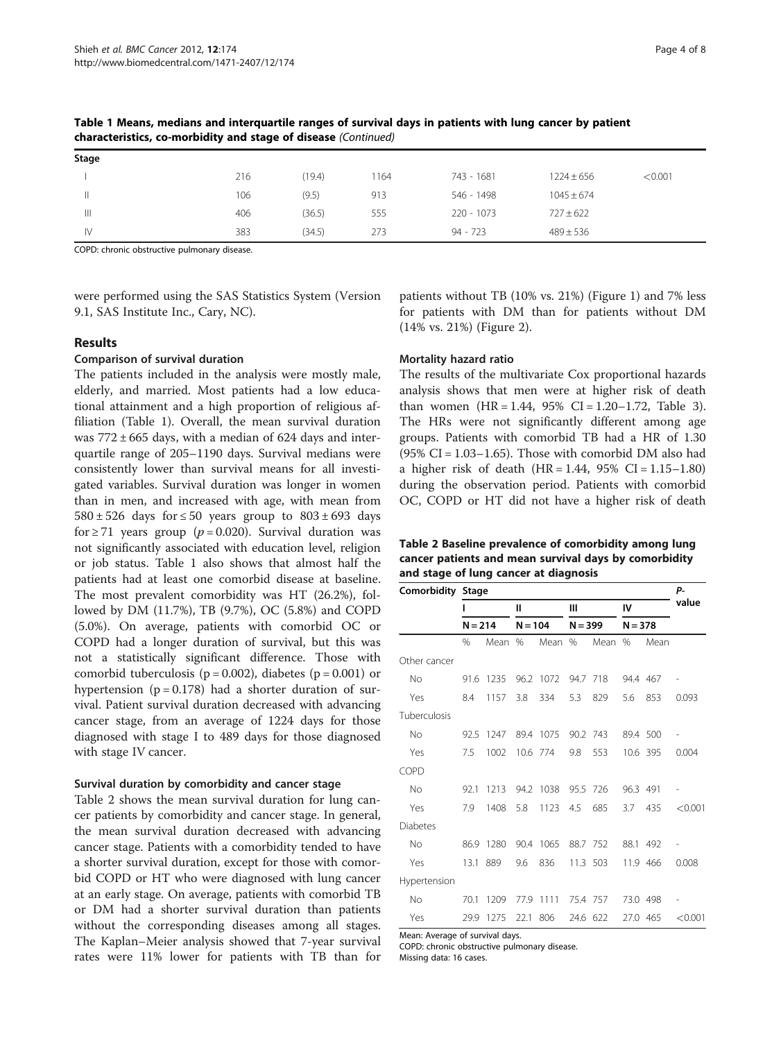| characteristics, co-morbigity and stage of disease (Continued) |     |        |      |            |                |         |  |  |
|----------------------------------------------------------------|-----|--------|------|------------|----------------|---------|--|--|
| Stage                                                          |     |        |      |            |                |         |  |  |
|                                                                | 216 | (19.4) | 1164 | 743 - 1681 | $1224 \pm 656$ | < 0.001 |  |  |
| $\mathsf{II}$                                                  | 106 | (9.5)  | 913  | 546 - 1498 | $1045 + 674$   |         |  |  |
| Ш                                                              | 406 | (36.5) | 555  | 220 - 1073 | $727 \pm 622$  |         |  |  |
| IV                                                             | 383 | (34.5) | 273  | $94 - 723$ | $489 + 536$    |         |  |  |

Table 1 Means, medians and interquartile ranges of survival days in patients with lung cancer by patient characteristic and stage of disease (Continued)

COPD: chronic obstructive pulmonary disease.

were performed using the SAS Statistics System (Version 9.1, SAS Institute Inc., Cary, NC).

#### Results

#### Comparison of survival duration

The patients included in the analysis were mostly male, elderly, and married. Most patients had a low educational attainment and a high proportion of religious affiliation (Table [1\)](#page-2-0). Overall, the mean survival duration was  $772 \pm 665$  days, with a median of 624 days and interquartile range of 205–1190 days. Survival medians were consistently lower than survival means for all investigated variables. Survival duration was longer in women than in men, and increased with age, with mean from  $580 \pm 526$  days for  $\leq 50$  years group to  $803 \pm 693$  days for  $\geq$  71 years group ( $p$  = 0.020). Survival duration was not significantly associated with education level, religion or job status. Table [1](#page-2-0) also shows that almost half the patients had at least one comorbid disease at baseline. The most prevalent comorbidity was HT (26.2%), followed by DM (11.7%), TB (9.7%), OC (5.8%) and COPD (5.0%). On average, patients with comorbid OC or COPD had a longer duration of survival, but this was not a statistically significant difference. Those with comorbid tuberculosis ( $p = 0.002$ ), diabetes ( $p = 0.001$ ) or hypertension ( $p = 0.178$ ) had a shorter duration of survival. Patient survival duration decreased with advancing cancer stage, from an average of 1224 days for those diagnosed with stage I to 489 days for those diagnosed with stage IV cancer.

#### Survival duration by comorbidity and cancer stage

Table 2 shows the mean survival duration for lung cancer patients by comorbidity and cancer stage. In general, the mean survival duration decreased with advancing cancer stage. Patients with a comorbidity tended to have a shorter survival duration, except for those with comorbid COPD or HT who were diagnosed with lung cancer at an early stage. On average, patients with comorbid TB or DM had a shorter survival duration than patients without the corresponding diseases among all stages. The Kaplan–Meier analysis showed that 7-year survival rates were 11% lower for patients with TB than for

patients without TB (10% vs. 21%) (Figure [1](#page-4-0)) and 7% less for patients with DM than for patients without DM (14% vs. 21%) (Figure [2](#page-4-0)).

#### Mortality hazard ratio

The results of the multivariate Cox proportional hazards analysis shows that men were at higher risk of death than women  $(HR = 1.44, 95\% \text{ CI} = 1.20 - 1.72, \text{ Table 3}).$  $(HR = 1.44, 95\% \text{ CI} = 1.20 - 1.72, \text{ Table 3}).$  $(HR = 1.44, 95\% \text{ CI} = 1.20 - 1.72, \text{ Table 3}).$ The HRs were not significantly different among age groups. Patients with comorbid TB had a HR of 1.30  $(95\% \text{ CI} = 1.03 - 1.65)$ . Those with comorbid DM also had a higher risk of death  $(HR = 1.44, 95\% \text{ CI} = 1.15-1.80)$ during the observation period. Patients with comorbid OC, COPD or HT did not have a higher risk of death

| Table 2 Baseline prevalence of comorbidity among lung |
|-------------------------------------------------------|
| cancer patients and mean survival days by comorbidity |
| and stage of lung cancer at diagnosis                 |

| Comorbidity Stage |           |      |           |           |           |          |           |          | P-      |
|-------------------|-----------|------|-----------|-----------|-----------|----------|-----------|----------|---------|
|                   | $N = 214$ |      | Ш         |           |           | Ш        |           |          | value   |
|                   |           |      | $N = 104$ |           | $N = 399$ |          | $N = 378$ |          |         |
|                   | $\%$      | Mean | $\%$      | Mean      | $\%$      | Mean     | %         | Mean     |         |
| Other cancer      |           |      |           |           |           |          |           |          |         |
| No                | 91.6      | 1235 | 96.2      | 1072      | 94.7 718  |          | 94.4 467  |          |         |
| Yes               | 8.4       | 1157 | 3.8       | 334       | 5.3       | 829      | 5.6       | 853      | 0.093   |
| Tuberculosis      |           |      |           |           |           |          |           |          |         |
| No                | 92.5      | 1247 |           | 89.4 1075 | 90.2 743  |          | 89.4 500  |          |         |
| Yes               | 7.5       | 1002 |           | 10.6 774  | 9.8       | 553      |           | 10.6 395 | 0.004   |
| COPD              |           |      |           |           |           |          |           |          |         |
| <b>No</b>         | 92.1      | 1213 | 94.2      | 1038      | 95.5 726  |          | 96.3 491  |          |         |
| Yes               | 7.9       | 1408 | 5.8       | 1123      | 4.5       | 685      | 3.7       | 435      | < 0.001 |
| Diabetes          |           |      |           |           |           |          |           |          |         |
| No                | 86.9      | 1280 |           | 90.4 1065 | 88.7 752  |          | 88.1 492  |          |         |
| Yes               | 13.1      | 889  | 9.6       | 836       |           | 11.3 503 |           | 11.9 466 | 0.008   |
| Hypertension      |           |      |           |           |           |          |           |          |         |
| No                | 70.1      | 1209 | 77.9      | 1111      | 75.4 757  |          | 73.0 498  |          |         |
| Yes               | 29.9      | 1275 | 22.1 806  |           |           | 24.6 622 | 27.0 465  |          | < 0.001 |

Mean: Average of survival days.

COPD: chronic obstructive pulmonary disease.

Missing data: 16 cases.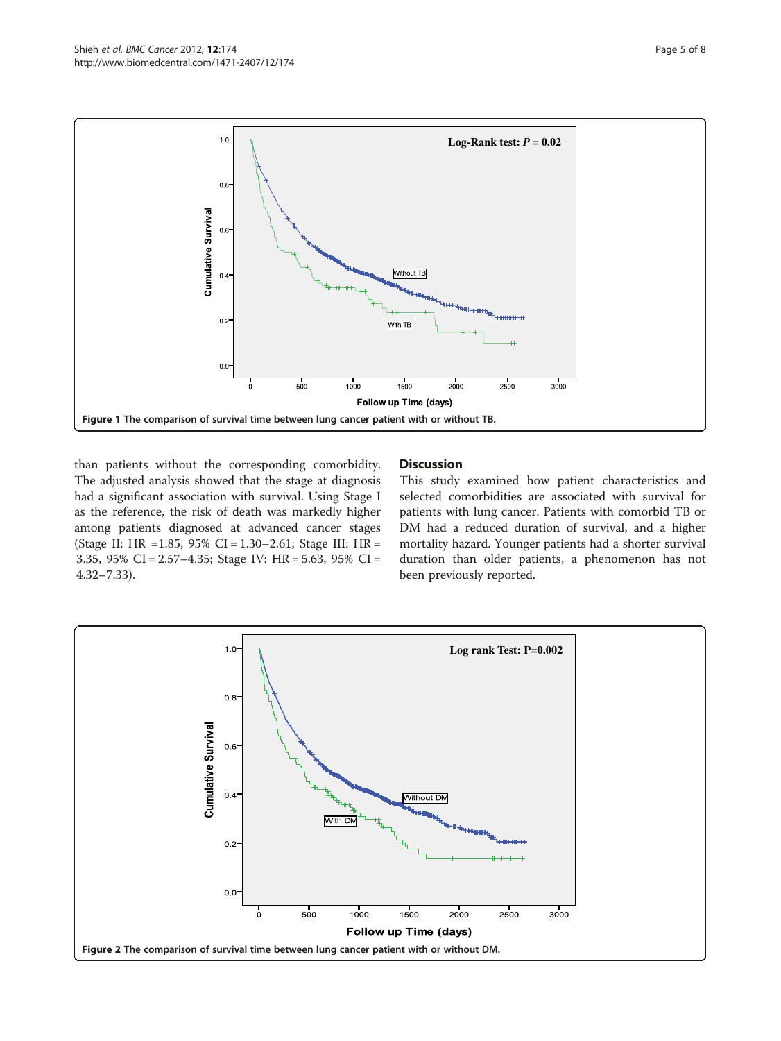<span id="page-4-0"></span>

than patients without the corresponding comorbidity. The adjusted analysis showed that the stage at diagnosis had a significant association with survival. Using Stage I as the reference, the risk of death was markedly higher among patients diagnosed at advanced cancer stages (Stage II: HR = 1.85, 95% CI = 1.30 - 2.61; Stage III: HR = 3.35, 95% CI = 2.57–4.35; Stage IV: HR = 5.63, 95% CI = 4.32–7.33).

# **Discussion**

This study examined how patient characteristics and selected comorbidities are associated with survival for patients with lung cancer. Patients with comorbid TB or DM had a reduced duration of survival, and a higher mortality hazard. Younger patients had a shorter survival duration than older patients, a phenomenon has not been previously reported.

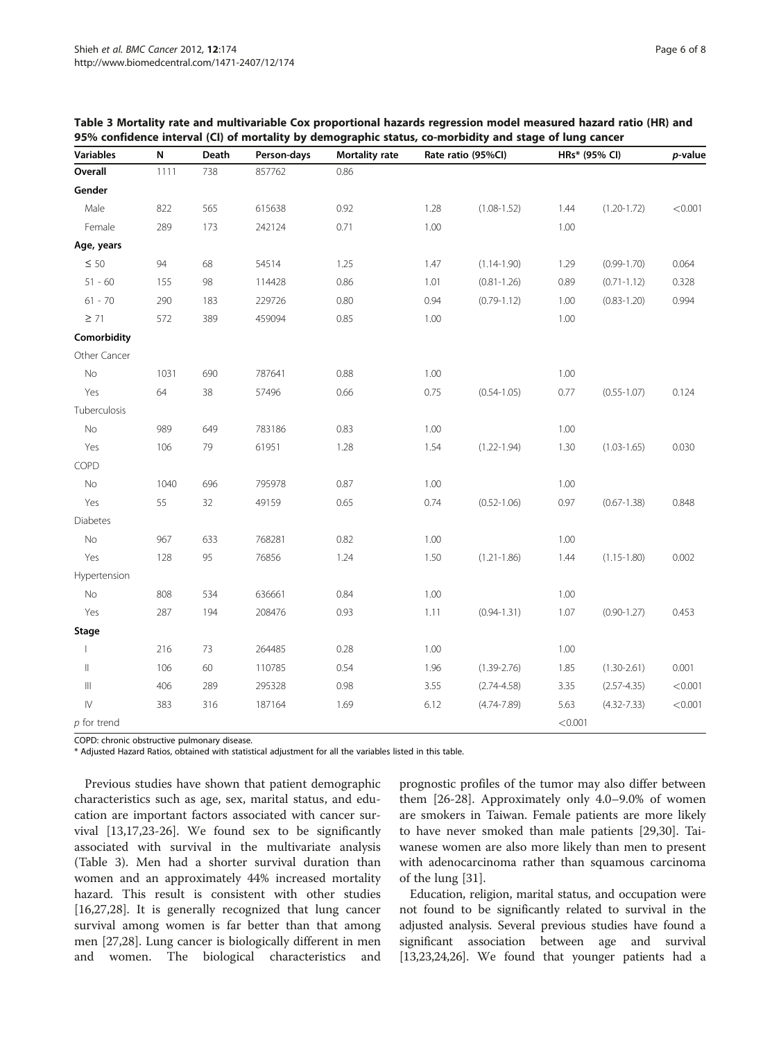| <b>Variables</b> | N    | Death | Person-days | <b>Mortality rate</b> |      | Rate ratio (95%CI) |         | HRs* (95% CI)   | p-value |
|------------------|------|-------|-------------|-----------------------|------|--------------------|---------|-----------------|---------|
| Overall          | 1111 | 738   | 857762      | 0.86                  |      |                    |         |                 |         |
| Gender           |      |       |             |                       |      |                    |         |                 |         |
| Male             | 822  | 565   | 615638      | 0.92                  | 1.28 | $(1.08 - 1.52)$    | 1.44    | $(1.20 - 1.72)$ | < 0.001 |
| Female           | 289  | 173   | 242124      | 0.71                  | 1.00 |                    | 1.00    |                 |         |
| Age, years       |      |       |             |                       |      |                    |         |                 |         |
| $\leq 50$        | 94   | 68    | 54514       | 1.25                  | 1.47 | $(1.14 - 1.90)$    | 1.29    | $(0.99 - 1.70)$ | 0.064   |
| $51 - 60$        | 155  | 98    | 114428      | 0.86                  | 1.01 | $(0.81 - 1.26)$    | 0.89    | $(0.71 - 1.12)$ | 0.328   |
| $61 - 70$        | 290  | 183   | 229726      | 0.80                  | 0.94 | $(0.79 - 1.12)$    | 1.00    | $(0.83 - 1.20)$ | 0.994   |
| $\geq$ 71        | 572  | 389   | 459094      | 0.85                  | 1.00 |                    | 1.00    |                 |         |
| Comorbidity      |      |       |             |                       |      |                    |         |                 |         |
| Other Cancer     |      |       |             |                       |      |                    |         |                 |         |
| No               | 1031 | 690   | 787641      | 0.88                  | 1.00 |                    | 1.00    |                 |         |
| Yes              | 64   | 38    | 57496       | 0.66                  | 0.75 | $(0.54 - 1.05)$    | 0.77    | $(0.55 - 1.07)$ | 0.124   |
| Tuberculosis     |      |       |             |                       |      |                    |         |                 |         |
| $\rm No$         | 989  | 649   | 783186      | 0.83                  | 1.00 |                    | 1.00    |                 |         |
| Yes              | 106  | 79    | 61951       | 1.28                  | 1.54 | $(1.22 - 1.94)$    | 1.30    | $(1.03 - 1.65)$ | 0.030   |
| COPD             |      |       |             |                       |      |                    |         |                 |         |
| $\rm No$         | 1040 | 696   | 795978      | 0.87                  | 1.00 |                    | 1.00    |                 |         |
| Yes              | 55   | 32    | 49159       | 0.65                  | 0.74 | $(0.52 - 1.06)$    | 0.97    | $(0.67 - 1.38)$ | 0.848   |
| Diabetes         |      |       |             |                       |      |                    |         |                 |         |
| No               | 967  | 633   | 768281      | 0.82                  | 1.00 |                    | 1.00    |                 |         |
| Yes              | 128  | 95    | 76856       | 1.24                  | 1.50 | $(1.21 - 1.86)$    | 1.44    | $(1.15 - 1.80)$ | 0.002   |
| Hypertension     |      |       |             |                       |      |                    |         |                 |         |
| No               | 808  | 534   | 636661      | 0.84                  | 1.00 |                    | 1.00    |                 |         |
| Yes              | 287  | 194   | 208476      | 0.93                  | 1.11 | $(0.94 - 1.31)$    | 1.07    | $(0.90 - 1.27)$ | 0.453   |
| <b>Stage</b>     |      |       |             |                       |      |                    |         |                 |         |
|                  | 216  | 73    | 264485      | 0.28                  | 1.00 |                    | 1.00    |                 |         |
| $\mathbb{H}$     | 106  | 60    | 110785      | 0.54                  | 1.96 | $(1.39 - 2.76)$    | 1.85    | $(1.30 - 2.61)$ | 0.001   |
| $\  \ $          | 406  | 289   | 295328      | 0.98                  | 3.55 | $(2.74 - 4.58)$    | 3.35    | $(2.57 - 4.35)$ | < 0.001 |
| $\mathsf{IV}$    | 383  | 316   | 187164      | 1.69                  | 6.12 | $(4.74 - 7.89)$    | 5.63    | $(4.32 - 7.33)$ | < 0.001 |
| $p$ for trend    |      |       |             |                       |      |                    | < 0.001 |                 |         |

<span id="page-5-0"></span>

| Table 3 Mortality rate and multivariable Cox proportional hazards regression model measured hazard ratio (HR) and |  |
|-------------------------------------------------------------------------------------------------------------------|--|
| 95% confidence interval (CI) of mortality by demographic status, co-morbidity and stage of lung cancer            |  |

COPD: chronic obstructive pulmonary disease.

\* Adjusted Hazard Ratios, obtained with statistical adjustment for all the variables listed in this table.

Previous studies have shown that patient demographic characteristics such as age, sex, marital status, and education are important factors associated with cancer survival [\[13,17,23](#page-7-0)-[26\]](#page-7-0). We found sex to be significantly associated with survival in the multivariate analysis (Table 3). Men had a shorter survival duration than women and an approximately 44% increased mortality hazard. This result is consistent with other studies [[16,27,28\]](#page-7-0). It is generally recognized that lung cancer survival among women is far better than that among men [[27,28\]](#page-7-0). Lung cancer is biologically different in men and women. The biological characteristics and

prognostic profiles of the tumor may also differ between them [[26-28\]](#page-7-0). Approximately only 4.0–9.0% of women are smokers in Taiwan. Female patients are more likely to have never smoked than male patients [[29,30\]](#page-7-0). Taiwanese women are also more likely than men to present with adenocarcinoma rather than squamous carcinoma of the lung [[31](#page-7-0)].

Education, religion, marital status, and occupation were not found to be significantly related to survival in the adjusted analysis. Several previous studies have found a significant association between age and survival [[13](#page-7-0),[23,24,26\]](#page-7-0). We found that younger patients had a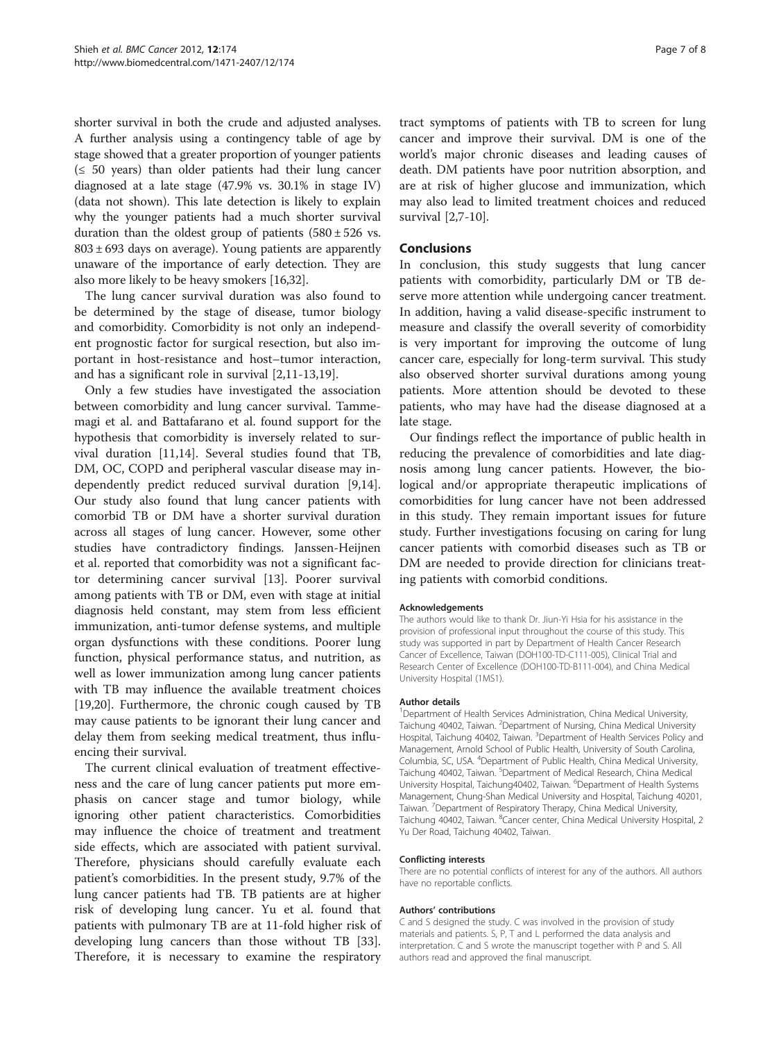shorter survival in both the crude and adjusted analyses. A further analysis using a contingency table of age by stage showed that a greater proportion of younger patients  $(≤ 50 years)$  than older patients had their lung cancer diagnosed at a late stage (47.9% vs. 30.1% in stage IV) (data not shown). This late detection is likely to explain why the younger patients had a much shorter survival duration than the oldest group of patients  $(580 \pm 526 \text{ vs.})$  $803 \pm 693$  days on average). Young patients are apparently unaware of the importance of early detection. They are also more likely to be heavy smokers [[16,32](#page-7-0)].

The lung cancer survival duration was also found to be determined by the stage of disease, tumor biology and comorbidity. Comorbidity is not only an independent prognostic factor for surgical resection, but also important in host-resistance and host–tumor interaction, and has a significant role in survival [[2,11-13,19\]](#page-7-0).

Only a few studies have investigated the association between comorbidity and lung cancer survival. Tammemagi et al. and Battafarano et al. found support for the hypothesis that comorbidity is inversely related to survival duration [\[11,14\]](#page-7-0). Several studies found that TB, DM, OC, COPD and peripheral vascular disease may independently predict reduced survival duration [\[9,14](#page-7-0)]. Our study also found that lung cancer patients with comorbid TB or DM have a shorter survival duration across all stages of lung cancer. However, some other studies have contradictory findings. Janssen-Heijnen et al. reported that comorbidity was not a significant factor determining cancer survival [\[13\]](#page-7-0). Poorer survival among patients with TB or DM, even with stage at initial diagnosis held constant, may stem from less efficient immunization, anti-tumor defense systems, and multiple organ dysfunctions with these conditions. Poorer lung function, physical performance status, and nutrition, as well as lower immunization among lung cancer patients with TB may influence the available treatment choices [[19,20\]](#page-7-0). Furthermore, the chronic cough caused by TB may cause patients to be ignorant their lung cancer and delay them from seeking medical treatment, thus influencing their survival.

The current clinical evaluation of treatment effectiveness and the care of lung cancer patients put more emphasis on cancer stage and tumor biology, while ignoring other patient characteristics. Comorbidities may influence the choice of treatment and treatment side effects, which are associated with patient survival. Therefore, physicians should carefully evaluate each patient's comorbidities. In the present study, 9.7% of the lung cancer patients had TB. TB patients are at higher risk of developing lung cancer. Yu et al. found that patients with pulmonary TB are at 11-fold higher risk of developing lung cancers than those without TB [\[33](#page-7-0)]. Therefore, it is necessary to examine the respiratory tract symptoms of patients with TB to screen for lung cancer and improve their survival. DM is one of the world's major chronic diseases and leading causes of death. DM patients have poor nutrition absorption, and are at risk of higher glucose and immunization, which may also lead to limited treatment choices and reduced survival [\[2](#page-7-0),[7](#page-7-0)-[10\]](#page-7-0).

#### Conclusions

In conclusion, this study suggests that lung cancer patients with comorbidity, particularly DM or TB deserve more attention while undergoing cancer treatment. In addition, having a valid disease-specific instrument to measure and classify the overall severity of comorbidity is very important for improving the outcome of lung cancer care, especially for long-term survival. This study also observed shorter survival durations among young patients. More attention should be devoted to these patients, who may have had the disease diagnosed at a late stage.

Our findings reflect the importance of public health in reducing the prevalence of comorbidities and late diagnosis among lung cancer patients. However, the biological and/or appropriate therapeutic implications of comorbidities for lung cancer have not been addressed in this study. They remain important issues for future study. Further investigations focusing on caring for lung cancer patients with comorbid diseases such as TB or DM are needed to provide direction for clinicians treating patients with comorbid conditions.

#### Acknowledgements

The authors would like to thank Dr. Jiun-Yi Hsia for his assistance in the provision of professional input throughout the course of this study. This study was supported in part by Department of Health Cancer Research Cancer of Excellence, Taiwan (DOH100-TD-C111-005), Clinical Trial and Research Center of Excellence (DOH100-TD-B111-004), and China Medical University Hospital (1MS1).

#### Author details

<sup>1</sup>Department of Health Services Administration, China Medical University Taichung 40402, Taiwan. <sup>2</sup>Department of Nursing, China Medical University Hospital, Taichung 40402, Taiwan. <sup>3</sup>Department of Health Services Policy and Management, Arnold School of Public Health, University of South Carolina, Columbia, SC, USA. <sup>4</sup>Department of Public Health, China Medical University, Taichung 40402, Taiwan. <sup>5</sup>Department of Medical Research, China Medical University Hospital, Taichung40402, Taiwan. <sup>6</sup>Department of Health Systems Management, Chung-Shan Medical University and Hospital, Taichung 40201, Taiwan. <sup>7</sup> Department of Respiratory Therapy, China Medical University Taichung 40402, Taiwan. <sup>8</sup> Cancer center, China Medical University Hospital, 2 Yu Der Road, Taichung 40402, Taiwan.

#### Conflicting interests

There are no potential conflicts of interest for any of the authors. All authors have no reportable conflicts.

#### Authors' contributions

C and S designed the study. C was involved in the provision of study materials and patients. S, P, T and L performed the data analysis and interpretation. C and S wrote the manuscript together with P and S. All authors read and approved the final manuscript.